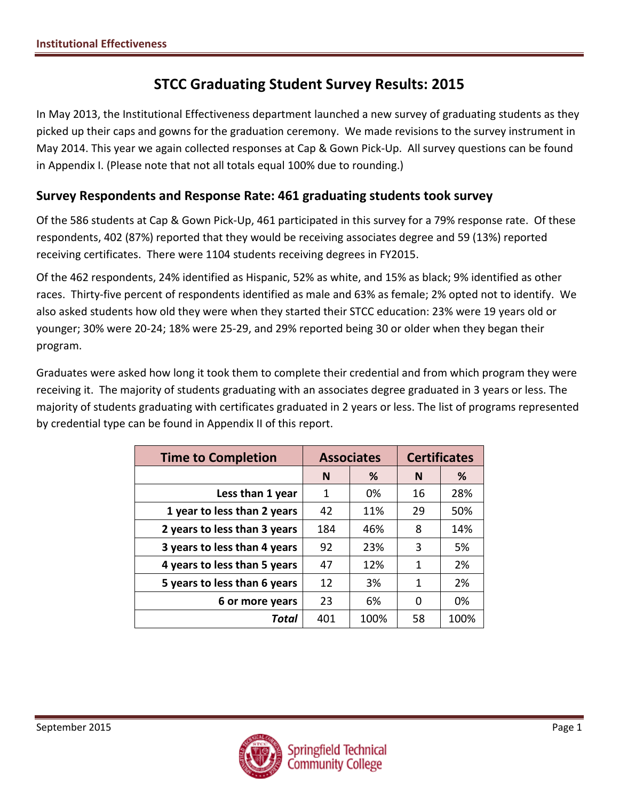# **STCC Graduating Student Survey Results: 2015**

In May 2013, the Institutional Effectiveness department launched a new survey of graduating students as they picked up their caps and gowns for the graduation ceremony. We made revisions to the survey instrument in May 2014. This year we again collected responses at Cap & Gown Pick-Up. All survey questions can be found in Appendix I. (Please note that not all totals equal 100% due to rounding.)

### **Survey Respondents and Response Rate: 461 graduating students took survey**

Of the 586 students at Cap & Gown Pick-Up, 461 participated in this survey for a 79% response rate. Of these respondents, 402 (87%) reported that they would be receiving associates degree and 59 (13%) reported receiving certificates. There were 1104 students receiving degrees in FY2015.

Of the 462 respondents, 24% identified as Hispanic, 52% as white, and 15% as black; 9% identified as other races. Thirty-five percent of respondents identified as male and 63% as female; 2% opted not to identify. We also asked students how old they were when they started their STCC education: 23% were 19 years old or younger; 30% were 20-24; 18% were 25-29, and 29% reported being 30 or older when they began their program.

Graduates were asked how long it took them to complete their credential and from which program they were receiving it. The majority of students graduating with an associates degree graduated in 3 years or less. The majority of students graduating with certificates graduated in 2 years or less. The list of programs represented by credential type can be found in Appendix II of this report.

| <b>Time to Completion</b>    |        | <b>Associates</b> | <b>Certificates</b> |      |  |
|------------------------------|--------|-------------------|---------------------|------|--|
|                              | %<br>N |                   | N                   | ℅    |  |
| Less than 1 year             | 1      | 0%                | 16                  | 28%  |  |
| 1 year to less than 2 years  | 42     | 11%               | 29                  | 50%  |  |
| 2 years to less than 3 years | 184    | 46%               | 8                   | 14%  |  |
| 3 years to less than 4 years | 92     | 23%               | 3                   | 5%   |  |
| 4 years to less than 5 years | 47     | 12%               | 1                   | 2%   |  |
| 5 years to less than 6 years | 12     | 3%                | 1                   | 2%   |  |
| 6 or more years              | 23     | 6%                | 0                   | 0%   |  |
| Total                        | 401    | 100%              | 58                  | 100% |  |

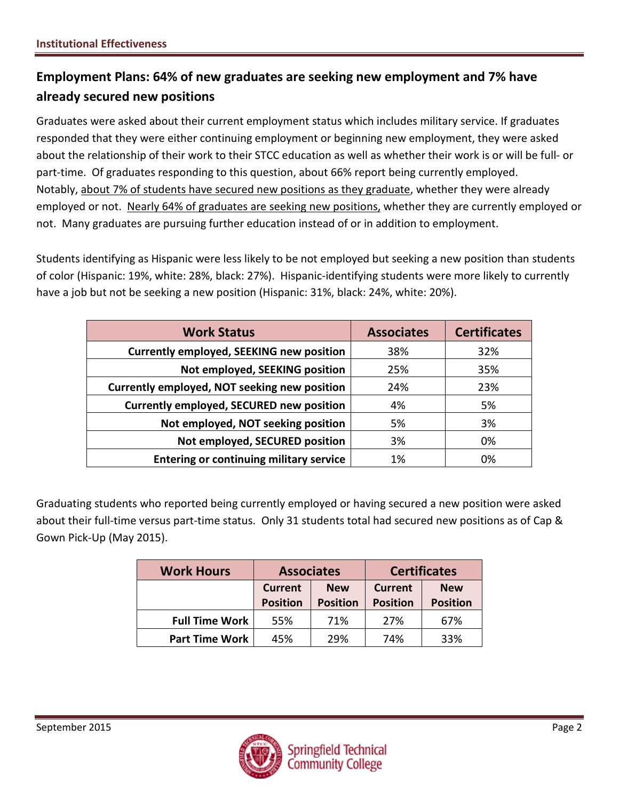# **Employment Plans: 64% of new graduates are seeking new employment and 7% have already secured new positions**

Graduates were asked about their current employment status which includes military service. If graduates responded that they were either continuing employment or beginning new employment, they were asked about the relationship of their work to their STCC education as well as whether their work is or will be full- or part-time. Of graduates responding to this question, about 66% report being currently employed. Notably, about 7% of students have secured new positions as they graduate, whether they were already employed or not. Nearly 64% of graduates are seeking new positions, whether they are currently employed or not. Many graduates are pursuing further education instead of or in addition to employment.

Students identifying as Hispanic were less likely to be not employed but seeking a new position than students of color (Hispanic: 19%, white: 28%, black: 27%). Hispanic-identifying students were more likely to currently have a job but not be seeking a new position (Hispanic: 31%, black: 24%, white: 20%).

| <b>Work Status</b>                              | <b>Associates</b> | <b>Certificates</b> |
|-------------------------------------------------|-------------------|---------------------|
| <b>Currently employed, SEEKING new position</b> | 38%               | 32%                 |
| Not employed, SEEKING position                  | 25%               | 35%                 |
| Currently employed, NOT seeking new position    | 24%               | 23%                 |
| Currently employed, SECURED new position        | 4%                | 5%                  |
| Not employed, NOT seeking position              | 5%                | 3%                  |
| Not employed, SECURED position                  | 3%                | 0%                  |
| <b>Entering or continuing military service</b>  | 1%                | 0%                  |

Graduating students who reported being currently employed or having secured a new position were asked about their full-time versus part-time status. Only 31 students total had secured new positions as of Cap & Gown Pick-Up (May 2015).

| <b>Work Hours</b>     | <b>Associates</b>                                                  |     |                                   |                               |  | <b>Certificates</b> |
|-----------------------|--------------------------------------------------------------------|-----|-----------------------------------|-------------------------------|--|---------------------|
|                       | <b>Current</b><br><b>New</b><br><b>Position</b><br><b>Position</b> |     | <b>Current</b><br><b>Position</b> | <b>New</b><br><b>Position</b> |  |                     |
| <b>Full Time Work</b> | 55%                                                                | 71% | 27%                               | 67%                           |  |                     |
| <b>Part Time Work</b> | 45%                                                                | 29% | 74%                               | 33%                           |  |                     |

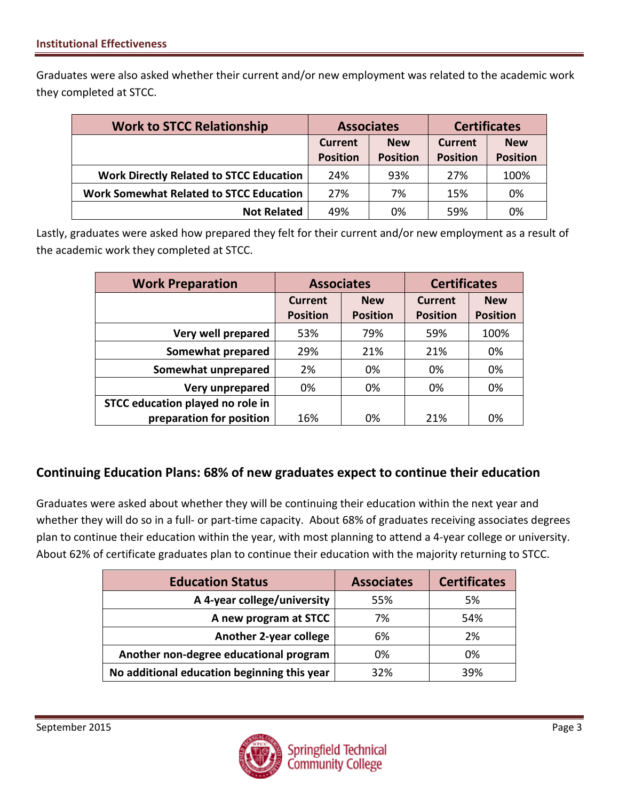Graduates were also asked whether their current and/or new employment was related to the academic work they completed at STCC.

| <b>Work to STCC Relationship</b>               | <b>Associates</b>                                                  |     | <b>Certificates</b> |            |  |
|------------------------------------------------|--------------------------------------------------------------------|-----|---------------------|------------|--|
|                                                | <b>New</b><br><b>Current</b><br><b>Position</b><br><b>Position</b> |     | Current             | <b>New</b> |  |
|                                                |                                                                    |     | <b>Position</b>     |            |  |
| <b>Work Directly Related to STCC Education</b> | 24%                                                                | 93% | 27%                 | 100%       |  |
| <b>Work Somewhat Related to STCC Education</b> | 27%                                                                | 7%  | 15%                 | 0%         |  |
| <b>Not Related</b>                             | 49%                                                                | 0%  | 59%                 | 0%         |  |

Lastly, graduates were asked how prepared they felt for their current and/or new employment as a result of the academic work they completed at STCC.

| <b>Work Preparation</b>          | <b>Associates</b>                                           |     | <b>Certificates</b>               |                               |  |
|----------------------------------|-------------------------------------------------------------|-----|-----------------------------------|-------------------------------|--|
|                                  | <b>New</b><br>Current<br><b>Position</b><br><b>Position</b> |     | <b>Current</b><br><b>Position</b> | <b>New</b><br><b>Position</b> |  |
| Very well prepared               | 53%                                                         | 79% | 59%                               | 100%                          |  |
| Somewhat prepared                | 29%                                                         | 21% | 21%                               | 0%                            |  |
| Somewhat unprepared              | 2%                                                          | 0%  | 0%                                | 0%                            |  |
| Very unprepared                  | 0%                                                          | 0%  | 0%                                | 0%                            |  |
| STCC education played no role in |                                                             |     |                                   |                               |  |
| preparation for position         | 16%                                                         | 0%  | 21%                               | 0%                            |  |

### **Continuing Education Plans: 68% of new graduates expect to continue their education**

Graduates were asked about whether they will be continuing their education within the next year and whether they will do so in a full- or part-time capacity. About 68% of graduates receiving associates degrees plan to continue their education within the year, with most planning to attend a 4-year college or university. About 62% of certificate graduates plan to continue their education with the majority returning to STCC.

| <b>Education Status</b>                     | <b>Associates</b> | <b>Certificates</b> |
|---------------------------------------------|-------------------|---------------------|
| A 4-year college/university                 | 55%               | 5%                  |
| A new program at STCC                       | 7%                | 54%                 |
| <b>Another 2-year college</b>               | 6%                | 2%                  |
| Another non-degree educational program      | 0%                | 0%                  |
| No additional education beginning this year | 32%               | 39%                 |

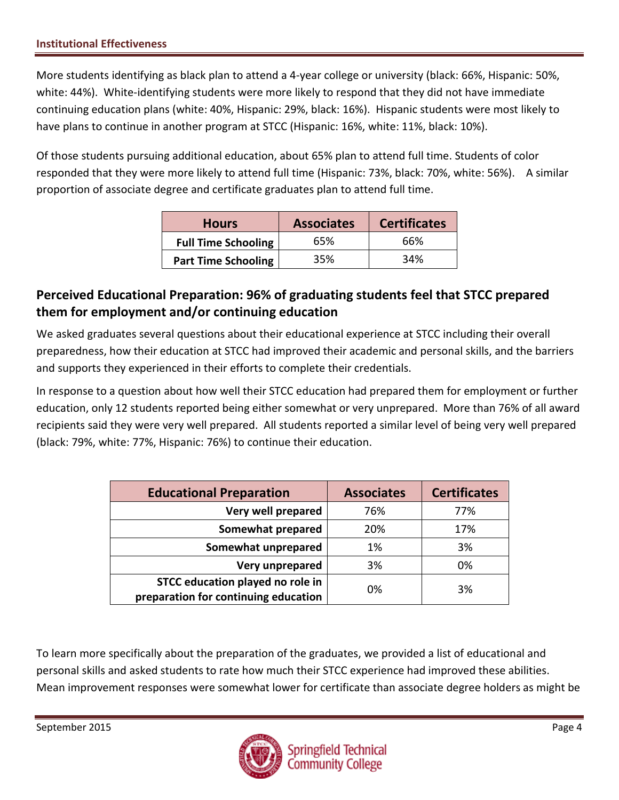More students identifying as black plan to attend a 4-year college or university (black: 66%, Hispanic: 50%, white: 44%). White-identifying students were more likely to respond that they did not have immediate continuing education plans (white: 40%, Hispanic: 29%, black: 16%). Hispanic students were most likely to have plans to continue in another program at STCC (Hispanic: 16%, white: 11%, black: 10%).

Of those students pursuing additional education, about 65% plan to attend full time. Students of color responded that they were more likely to attend full time (Hispanic: 73%, black: 70%, white: 56%). A similar proportion of associate degree and certificate graduates plan to attend full time.

| <b>Hours</b>               | <b>Associates</b> | <b>Certificates</b> |
|----------------------------|-------------------|---------------------|
| <b>Full Time Schooling</b> | 65%               | 66%                 |
| <b>Part Time Schooling</b> | 35%               | 34%                 |

## **Perceived Educational Preparation: 96% of graduating students feel that STCC prepared them for employment and/or continuing education**

We asked graduates several questions about their educational experience at STCC including their overall preparedness, how their education at STCC had improved their academic and personal skills, and the barriers and supports they experienced in their efforts to complete their credentials.

In response to a question about how well their STCC education had prepared them for employment or further education, only 12 students reported being either somewhat or very unprepared. More than 76% of all award recipients said they were very well prepared. All students reported a similar level of being very well prepared (black: 79%, white: 77%, Hispanic: 76%) to continue their education.

| <b>Educational Preparation</b>       | <b>Associates</b> | <b>Certificates</b> |
|--------------------------------------|-------------------|---------------------|
| Very well prepared                   | 76%               | 77%                 |
| Somewhat prepared                    | 20%               | 17%                 |
| Somewhat unprepared                  | 1%                | 3%                  |
| Very unprepared                      | 3%                | 0%                  |
| STCC education played no role in     | 0%                | 3%                  |
| preparation for continuing education |                   |                     |

To learn more specifically about the preparation of the graduates, we provided a list of educational and personal skills and asked students to rate how much their STCC experience had improved these abilities. Mean improvement responses were somewhat lower for certificate than associate degree holders as might be

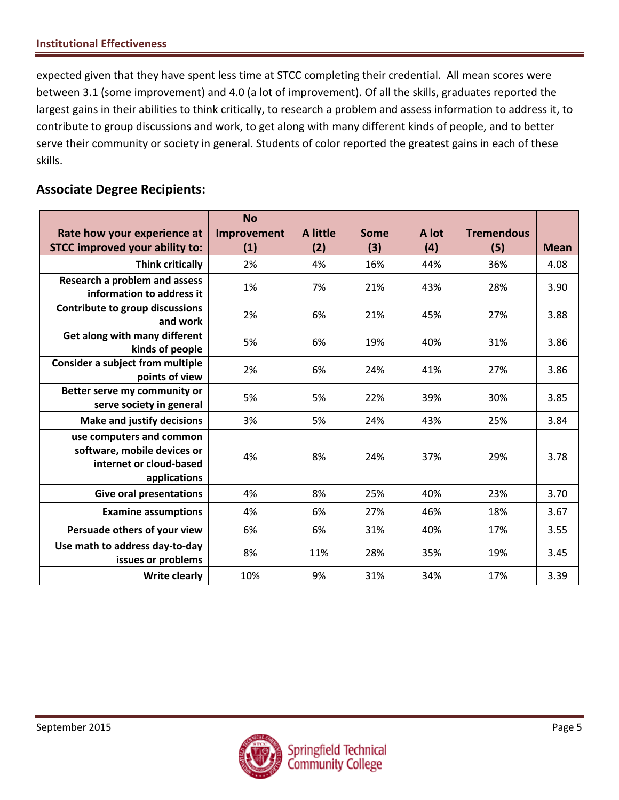expected given that they have spent less time at STCC completing their credential. All mean scores were between 3.1 (some improvement) and 4.0 (a lot of improvement). Of all the skills, graduates reported the largest gains in their abilities to think critically, to research a problem and assess information to address it, to contribute to group discussions and work, to get along with many different kinds of people, and to better serve their community or society in general. Students of color reported the greatest gains in each of these skills.

### **Associate Degree Recipients:**

|                                                                                                    | <b>No</b>   |                 |             |       |                   |             |
|----------------------------------------------------------------------------------------------------|-------------|-----------------|-------------|-------|-------------------|-------------|
| Rate how your experience at                                                                        | Improvement | <b>A</b> little | <b>Some</b> | A lot | <b>Tremendous</b> |             |
| <b>STCC improved your ability to:</b>                                                              | (1)         | (2)             | (3)         | (4)   | (5)               | <b>Mean</b> |
| <b>Think critically</b>                                                                            | 2%          | 4%              | 16%         | 44%   | 36%               | 4.08        |
| Research a problem and assess<br>information to address it                                         | 1%          | 7%              | 21%         | 43%   | 28%               | 3.90        |
| <b>Contribute to group discussions</b>                                                             |             |                 |             |       |                   |             |
| and work                                                                                           | 2%          | 6%              | 21%         | 45%   | 27%               | 3.88        |
| Get along with many different                                                                      | 5%          | 6%              | 19%         | 40%   | 31%               | 3.86        |
| kinds of people                                                                                    |             |                 |             |       |                   |             |
| <b>Consider a subject from multiple</b><br>points of view                                          | 2%          | 6%              | 24%         | 41%   | 27%               | 3.86        |
| Better serve my community or                                                                       |             |                 |             |       |                   |             |
| serve society in general                                                                           | 5%          | 5%              | 22%         | 39%   | 30%               | 3.85        |
| <b>Make and justify decisions</b>                                                                  | 3%          | 5%              | 24%         | 43%   | 25%               | 3.84        |
| use computers and common<br>software, mobile devices or<br>internet or cloud-based<br>applications | 4%          | 8%              | 24%         | 37%   | 29%               | 3.78        |
| <b>Give oral presentations</b>                                                                     | 4%          | 8%              | 25%         | 40%   | 23%               | 3.70        |
| <b>Examine assumptions</b>                                                                         | 4%          | 6%              | 27%         | 46%   | 18%               | 3.67        |
| Persuade others of your view                                                                       | 6%          | 6%              | 31%         | 40%   | 17%               | 3.55        |
| Use math to address day-to-day<br>issues or problems                                               | 8%          | 11%             | 28%         | 35%   | 19%               | 3.45        |
| <b>Write clearly</b>                                                                               | 10%         | 9%              | 31%         | 34%   | 17%               | 3.39        |

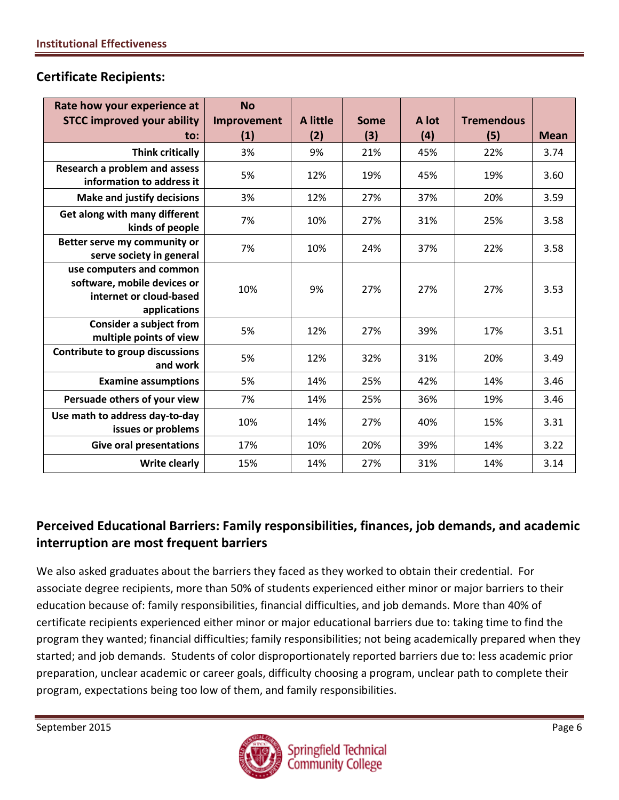#### **Certificate Recipients:**

| Rate how your experience at                                                                        | <b>No</b>          | A little | Some | A lot | <b>Tremendous</b> |             |
|----------------------------------------------------------------------------------------------------|--------------------|----------|------|-------|-------------------|-------------|
| <b>STCC improved your ability</b><br>to:                                                           | Improvement<br>(1) | (2)      | (3)  | (4)   | (5)               | <b>Mean</b> |
| <b>Think critically</b>                                                                            | 3%                 | 9%       | 21%  | 45%   | 22%               | 3.74        |
| Research a problem and assess<br>information to address it                                         | 5%                 | 12%      | 19%  | 45%   | 19%               | 3.60        |
| <b>Make and justify decisions</b>                                                                  | 3%                 | 12%      | 27%  | 37%   | 20%               | 3.59        |
| Get along with many different<br>kinds of people                                                   | 7%                 | 10%      | 27%  | 31%   | 25%               | 3.58        |
| Better serve my community or<br>serve society in general                                           | 7%                 | 10%      | 24%  | 37%   | 22%               | 3.58        |
| use computers and common<br>software, mobile devices or<br>internet or cloud-based<br>applications | 10%                | 9%       | 27%  | 27%   | 27%               | 3.53        |
| <b>Consider a subject from</b><br>multiple points of view                                          | 5%                 | 12%      | 27%  | 39%   | 17%               | 3.51        |
| <b>Contribute to group discussions</b><br>and work                                                 | 5%                 | 12%      | 32%  | 31%   | 20%               | 3.49        |
| <b>Examine assumptions</b>                                                                         | 5%                 | 14%      | 25%  | 42%   | 14%               | 3.46        |
| Persuade others of your view                                                                       | 7%                 | 14%      | 25%  | 36%   | 19%               | 3.46        |
| Use math to address day-to-day<br>issues or problems                                               | 10%                | 14%      | 27%  | 40%   | 15%               | 3.31        |
| <b>Give oral presentations</b>                                                                     | 17%                | 10%      | 20%  | 39%   | 14%               | 3.22        |
| <b>Write clearly</b>                                                                               | 15%                | 14%      | 27%  | 31%   | 14%               | 3.14        |

## **Perceived Educational Barriers: Family responsibilities, finances, job demands, and academic interruption are most frequent barriers**

We also asked graduates about the barriers they faced as they worked to obtain their credential. For associate degree recipients, more than 50% of students experienced either minor or major barriers to their education because of: family responsibilities, financial difficulties, and job demands. More than 40% of certificate recipients experienced either minor or major educational barriers due to: taking time to find the program they wanted; financial difficulties; family responsibilities; not being academically prepared when they started; and job demands. Students of color disproportionately reported barriers due to: less academic prior preparation, unclear academic or career goals, difficulty choosing a program, unclear path to complete their program, expectations being too low of them, and family responsibilities.

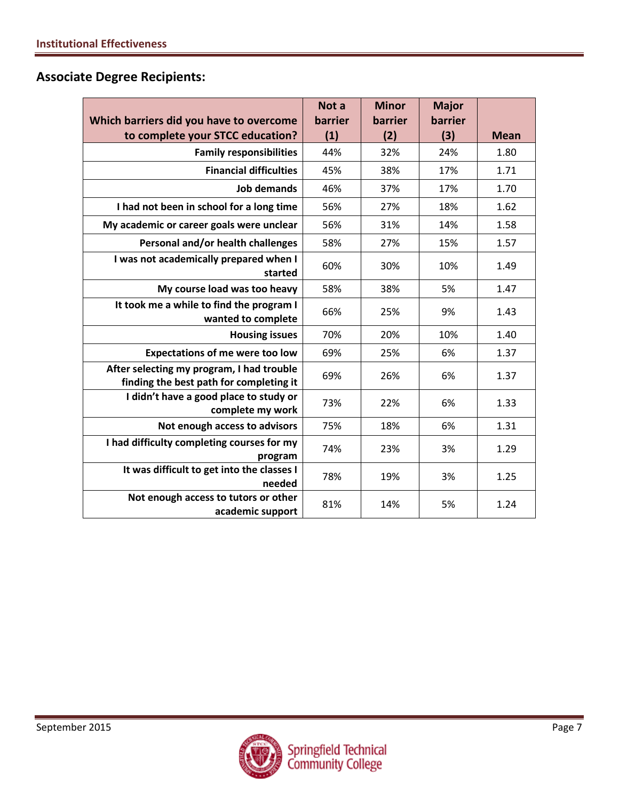## **Associate Degree Recipients:**

|                                                                                      | Not a   | <b>Minor</b> | <b>Major</b> |             |
|--------------------------------------------------------------------------------------|---------|--------------|--------------|-------------|
| Which barriers did you have to overcome                                              | barrier | barrier      | barrier      |             |
| to complete your STCC education?                                                     | (1)     | (2)          | (3)          | <b>Mean</b> |
| <b>Family responsibilities</b>                                                       | 44%     | 32%          | 24%          | 1.80        |
| <b>Financial difficulties</b>                                                        | 45%     | 38%          | 17%          | 1.71        |
| <b>Job demands</b>                                                                   | 46%     | 37%          | 17%          | 1.70        |
| I had not been in school for a long time                                             | 56%     | 27%          | 18%          | 1.62        |
| My academic or career goals were unclear                                             | 56%     | 31%          | 14%          | 1.58        |
| Personal and/or health challenges                                                    | 58%     | 27%          | 15%          | 1.57        |
| I was not academically prepared when I<br>started                                    | 60%     | 30%          | 10%          | 1.49        |
| My course load was too heavy                                                         | 58%     | 38%          | 5%           | 1.47        |
| It took me a while to find the program I<br>wanted to complete                       | 66%     | 25%          | 9%           | 1.43        |
| <b>Housing issues</b>                                                                | 70%     | 20%          | 10%          | 1.40        |
| <b>Expectations of me were too low</b>                                               | 69%     | 25%          | 6%           | 1.37        |
| After selecting my program, I had trouble<br>finding the best path for completing it | 69%     | 26%          | 6%           | 1.37        |
| I didn't have a good place to study or<br>complete my work                           | 73%     | 22%          | 6%           | 1.33        |
| Not enough access to advisors                                                        | 75%     | 18%          | 6%           | 1.31        |
| I had difficulty completing courses for my<br>program                                | 74%     | 23%          | 3%           | 1.29        |
| It was difficult to get into the classes I<br>needed                                 | 78%     | 19%          | 3%           | 1.25        |
| Not enough access to tutors or other<br>academic support                             | 81%     | 14%          | 5%           | 1.24        |

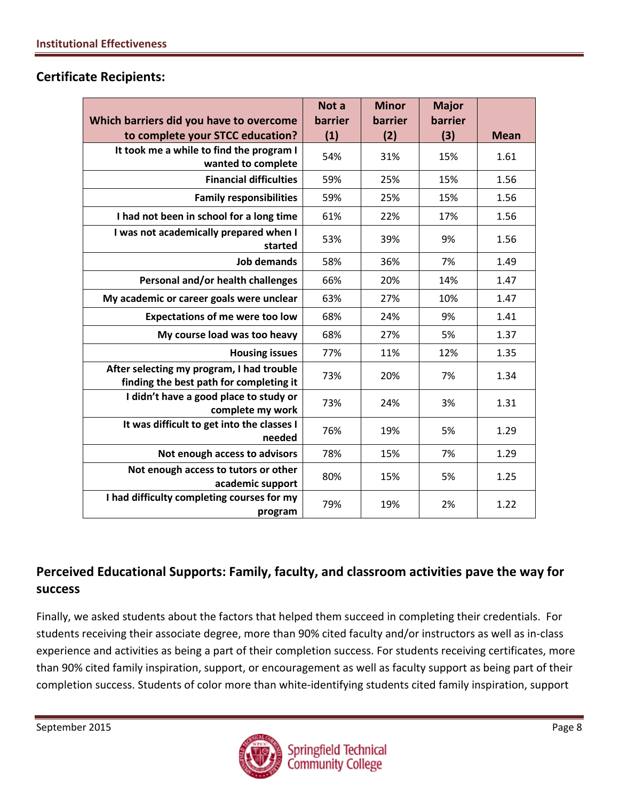|                                                                                      | Not a   | <b>Minor</b> | <b>Major</b> |             |
|--------------------------------------------------------------------------------------|---------|--------------|--------------|-------------|
| Which barriers did you have to overcome                                              | barrier | barrier      | barrier      |             |
| to complete your STCC education?                                                     | (1)     | (2)          | (3)          | <b>Mean</b> |
| It took me a while to find the program I<br>wanted to complete                       | 54%     | 31%          | 15%          | 1.61        |
|                                                                                      |         |              |              |             |
| <b>Financial difficulties</b>                                                        | 59%     | 25%          | 15%          | 1.56        |
| <b>Family responsibilities</b>                                                       | 59%     | 25%          | 15%          | 1.56        |
| I had not been in school for a long time                                             | 61%     | 22%          | 17%          | 1.56        |
| I was not academically prepared when I<br>started                                    | 53%     | 39%          | 9%           | 1.56        |
| <b>Job demands</b>                                                                   | 58%     | 36%          | 7%           | 1.49        |
| Personal and/or health challenges                                                    | 66%     | 20%          | 14%          | 1.47        |
| My academic or career goals were unclear                                             | 63%     | 27%          | 10%          | 1.47        |
| <b>Expectations of me were too low</b>                                               | 68%     | 24%          | 9%           | 1.41        |
| My course load was too heavy                                                         | 68%     | 27%          | 5%           | 1.37        |
| <b>Housing issues</b>                                                                | 77%     | 11%          | 12%          | 1.35        |
| After selecting my program, I had trouble<br>finding the best path for completing it | 73%     | 20%          | 7%           | 1.34        |
| I didn't have a good place to study or<br>complete my work                           | 73%     | 24%          | 3%           | 1.31        |
| It was difficult to get into the classes I<br>needed                                 | 76%     | 19%          | 5%           | 1.29        |
| Not enough access to advisors                                                        | 78%     | 15%          | 7%           | 1.29        |
| Not enough access to tutors or other                                                 | 80%     | 15%          | 5%           | 1.25        |
| academic support                                                                     |         |              |              |             |
| I had difficulty completing courses for my<br>program                                | 79%     | 19%          | 2%           | 1.22        |

### **Certificate Recipients:**

# **Perceived Educational Supports: Family, faculty, and classroom activities pave the way for success**

Finally, we asked students about the factors that helped them succeed in completing their credentials. For students receiving their associate degree, more than 90% cited faculty and/or instructors as well as in-class experience and activities as being a part of their completion success. For students receiving certificates, more than 90% cited family inspiration, support, or encouragement as well as faculty support as being part of their completion success. Students of color more than white-identifying students cited family inspiration, support

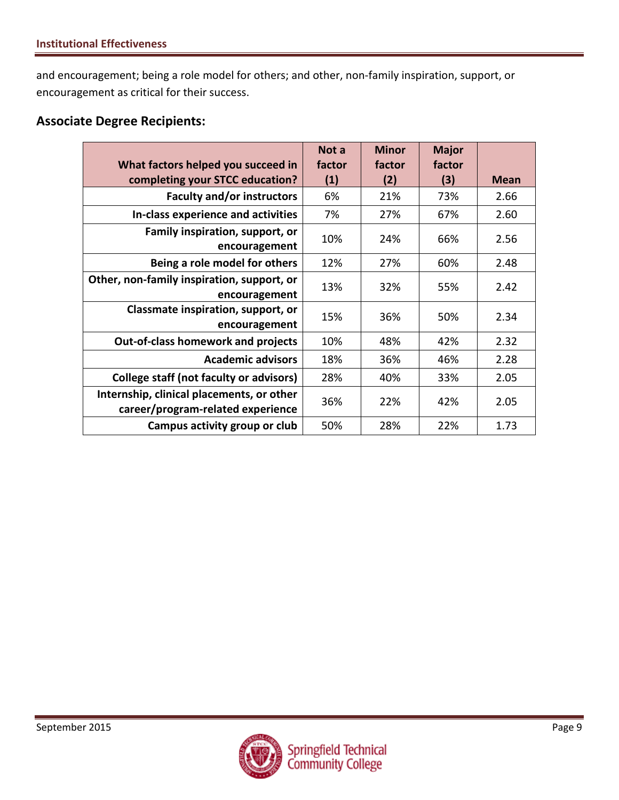and encouragement; being a role model for others; and other, non-family inspiration, support, or encouragement as critical for their success.

#### **Associate Degree Recipients:**

|                                                                                | Not a  | <b>Minor</b> | <b>Major</b> |             |
|--------------------------------------------------------------------------------|--------|--------------|--------------|-------------|
| What factors helped you succeed in                                             | factor | factor       | factor       |             |
| completing your STCC education?                                                | (1)    | (2)          | (3)          | <b>Mean</b> |
| <b>Faculty and/or instructors</b>                                              | 6%     | 21%          | 73%          | 2.66        |
| In-class experience and activities                                             | 7%     | 27%          | 67%          | 2.60        |
| Family inspiration, support, or<br>encouragement                               | 10%    | 24%          | 66%          | 2.56        |
| Being a role model for others                                                  | 12%    | 27%          | 60%          | 2.48        |
| Other, non-family inspiration, support, or<br>encouragement                    | 13%    | 32%          | 55%          | 2.42        |
| Classmate inspiration, support, or<br>encouragement                            | 15%    | 36%          | 50%          | 2.34        |
| <b>Out-of-class homework and projects</b>                                      | 10%    | 48%          | 42%          | 2.32        |
| <b>Academic advisors</b>                                                       | 18%    | 36%          | 46%          | 2.28        |
| <b>College staff (not faculty or advisors)</b>                                 | 28%    | 40%          | 33%          | 2.05        |
| Internship, clinical placements, or other<br>career/program-related experience | 36%    | 22%          | 42%          | 2.05        |
| Campus activity group or club                                                  | 50%    | 28%          | 22%          | 1.73        |

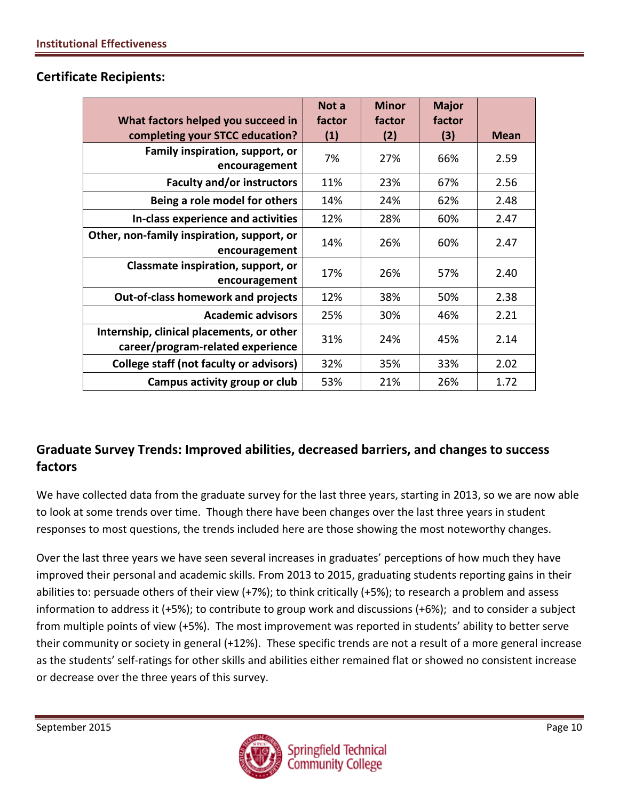|                                                | Not a  | <b>Minor</b> | <b>Major</b> |             |
|------------------------------------------------|--------|--------------|--------------|-------------|
| What factors helped you succeed in             | factor | factor       | factor       |             |
| completing your STCC education?                | (1)    | (2)          | (3)          | <b>Mean</b> |
| Family inspiration, support, or                | 7%     | 27%          | 66%          | 2.59        |
| encouragement                                  |        |              |              |             |
| <b>Faculty and/or instructors</b>              | 11%    | 23%          | 67%          | 2.56        |
| Being a role model for others                  | 14%    | 24%          | 62%          | 2.48        |
| In-class experience and activities             | 12%    | 28%          | 60%          | 2.47        |
| Other, non-family inspiration, support, or     | 14%    | 26%          | 60%          | 2.47        |
| encouragement                                  |        |              |              |             |
| Classmate inspiration, support, or             | 17%    | 26%          | 57%          | 2.40        |
| encouragement                                  |        |              |              |             |
| <b>Out-of-class homework and projects</b>      | 12%    | 38%          | 50%          | 2.38        |
| <b>Academic advisors</b>                       | 25%    | 30%          | 46%          | 2.21        |
| Internship, clinical placements, or other      | 31%    | 24%          | 45%          | 2.14        |
| career/program-related experience              |        |              |              |             |
| <b>College staff (not faculty or advisors)</b> | 32%    | 35%          | 33%          | 2.02        |
| Campus activity group or club                  | 53%    | 21%          | 26%          | 1.72        |

#### **Certificate Recipients:**

## **Graduate Survey Trends: Improved abilities, decreased barriers, and changes to success factors**

We have collected data from the graduate survey for the last three years, starting in 2013, so we are now able to look at some trends over time. Though there have been changes over the last three years in student responses to most questions, the trends included here are those showing the most noteworthy changes.

Over the last three years we have seen several increases in graduates' perceptions of how much they have improved their personal and academic skills. From 2013 to 2015, graduating students reporting gains in their abilities to: persuade others of their view (+7%); to think critically (+5%); to research a problem and assess information to address it (+5%); to contribute to group work and discussions (+6%); and to consider a subject from multiple points of view (+5%). The most improvement was reported in students' ability to better serve their community or society in general (+12%). These specific trends are not a result of a more general increase as the students' self-ratings for other skills and abilities either remained flat or showed no consistent increase or decrease over the three years of this survey.

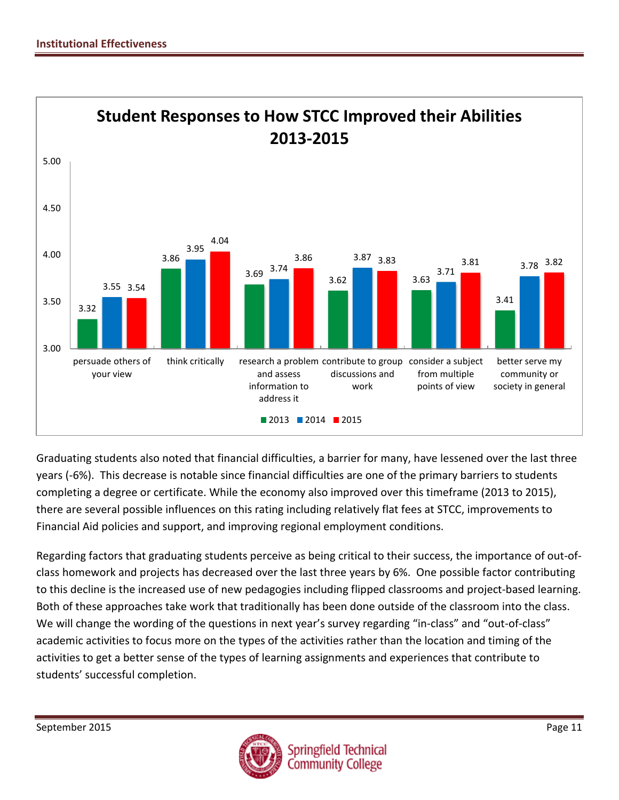

Graduating students also noted that financial difficulties, a barrier for many, have lessened over the last three years (-6%). This decrease is notable since financial difficulties are one of the primary barriers to students completing a degree or certificate. While the economy also improved over this timeframe (2013 to 2015), there are several possible influences on this rating including relatively flat fees at STCC, improvements to Financial Aid policies and support, and improving regional employment conditions.

Regarding factors that graduating students perceive as being critical to their success, the importance of out-ofclass homework and projects has decreased over the last three years by 6%. One possible factor contributing to this decline is the increased use of new pedagogies including flipped classrooms and project-based learning. Both of these approaches take work that traditionally has been done outside of the classroom into the class. We will change the wording of the questions in next year's survey regarding "in-class" and "out-of-class" academic activities to focus more on the types of the activities rather than the location and timing of the activities to get a better sense of the types of learning assignments and experiences that contribute to students' successful completion.

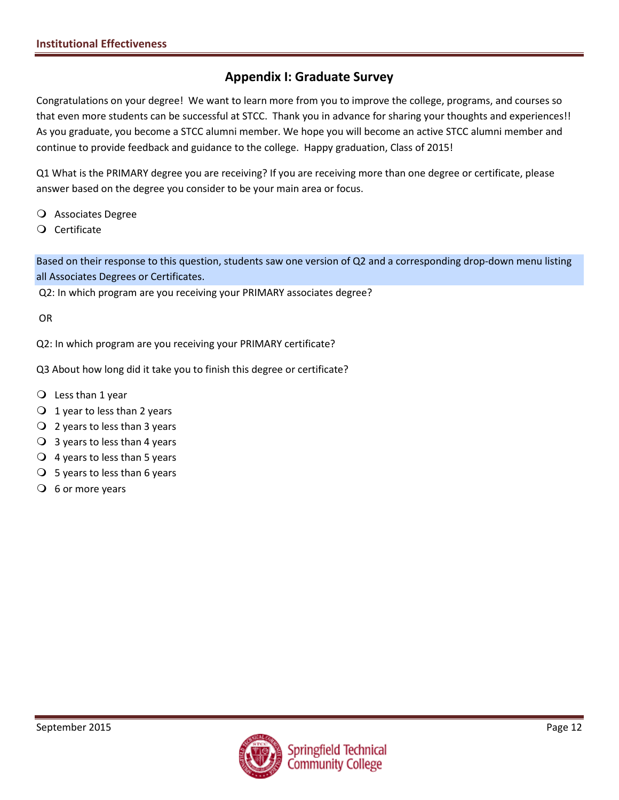### **Appendix I: Graduate Survey**

Congratulations on your degree! We want to learn more from you to improve the college, programs, and courses so that even more students can be successful at STCC. Thank you in advance for sharing your thoughts and experiences!! As you graduate, you become a STCC alumni member. We hope you will become an active STCC alumni member and continue to provide feedback and guidance to the college. Happy graduation, Class of 2015!

Q1 What is the PRIMARY degree you are receiving? If you are receiving more than one degree or certificate, please answer based on the degree you consider to be your main area or focus.

- Associates Degree
- Certificate

Based on their response to this question, students saw one version of Q2 and a corresponding drop-down menu listing all Associates Degrees or Certificates.

Q2: In which program are you receiving your PRIMARY associates degree?

OR

Q2: In which program are you receiving your PRIMARY certificate?

Q3 About how long did it take you to finish this degree or certificate?

- $Q$  Less than 1 year
- $\bigcirc$  1 year to less than 2 years
- $Q$  2 years to less than 3 years
- $\overline{O}$  3 years to less than 4 years
- $\overline{Q}$  4 years to less than 5 years
- $\bigcirc$  5 years to less than 6 years
- $\overline{O}$  6 or more years

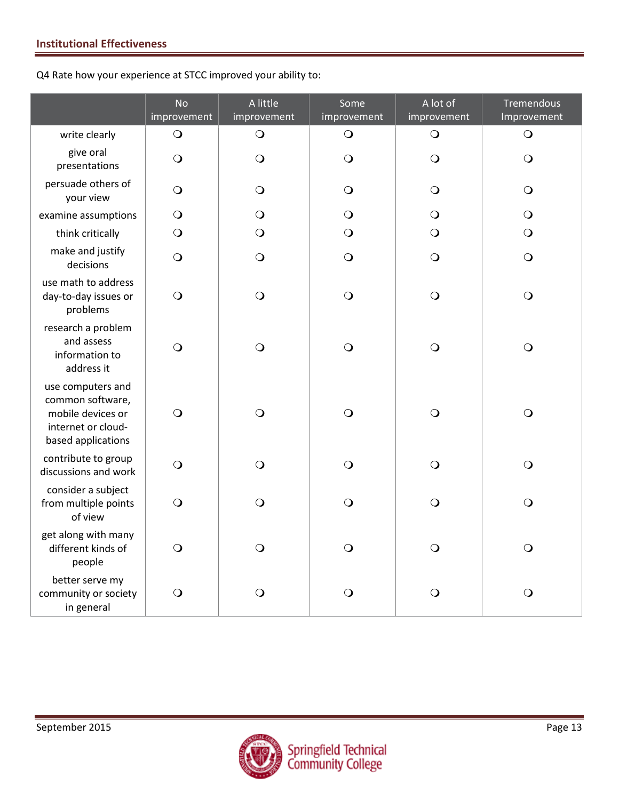Q4 Rate how your experience at STCC improved your ability to:

|                                                                                                        | <b>No</b><br>improvement | A little<br>improvement | Some<br>improvement | A lot of<br>improvement | Tremendous<br>Improvement |
|--------------------------------------------------------------------------------------------------------|--------------------------|-------------------------|---------------------|-------------------------|---------------------------|
| write clearly                                                                                          | $\bigcirc$               | $\bigcirc$              | $\bigcirc$          | $\bigcirc$              | $\bigcirc$                |
| give oral<br>presentations                                                                             | $\bigcirc$               | $\bigcirc$              | $\bigcirc$          | $\bigcirc$              | $\bigcirc$                |
| persuade others of<br>your view                                                                        | $\bigcirc$               | $\bigcirc$              | $\bigcirc$          | $\bigcirc$              | $\bigcirc$                |
| examine assumptions                                                                                    | $\bigcirc$               | $\bigcirc$              | $\bigcirc$          | $\bigcirc$              | $\bigcirc$                |
| think critically                                                                                       | $\bigcirc$               | $\bigcirc$              | $\bigcirc$          | $\bigcirc$              | $\bigcirc$                |
| make and justify<br>decisions                                                                          | $\bigcirc$               | $\bigcirc$              | $\bigcirc$          | $\bigcirc$              | $\bigcirc$                |
| use math to address<br>day-to-day issues or<br>problems                                                | $\bigcirc$               | $\bigcirc$              | $\bigcirc$          | $\bigcirc$              | $\bigcirc$                |
| research a problem<br>and assess<br>information to<br>address it                                       | $\bigcirc$               | $\bigcirc$              | $\bigcirc$          | $\bigcirc$              | $\bigcirc$                |
| use computers and<br>common software,<br>mobile devices or<br>internet or cloud-<br>based applications | $\bigcirc$               | $\overline{O}$          | $\bigcirc$          | $\bigcirc$              | $\bigcirc$                |
| contribute to group<br>discussions and work                                                            | $\bigcirc$               | $\bigcirc$              | $\bigcirc$          | $\bigcirc$              | $\bigcirc$                |
| consider a subject<br>from multiple points<br>of view                                                  | $\bigcirc$               | $\bigcirc$              | $\bigcirc$          | $\bigcirc$              | $\bigcirc$                |
| get along with many<br>different kinds of<br>people                                                    | $\bigcirc$               | $\bigcirc$              | $\bigcirc$          | $\bigcirc$              | $\bigcirc$                |
| better serve my<br>community or society<br>in general                                                  | $\bigcirc$               | O                       | O                   | $\mathsf{O}$            | $\bigcirc$                |

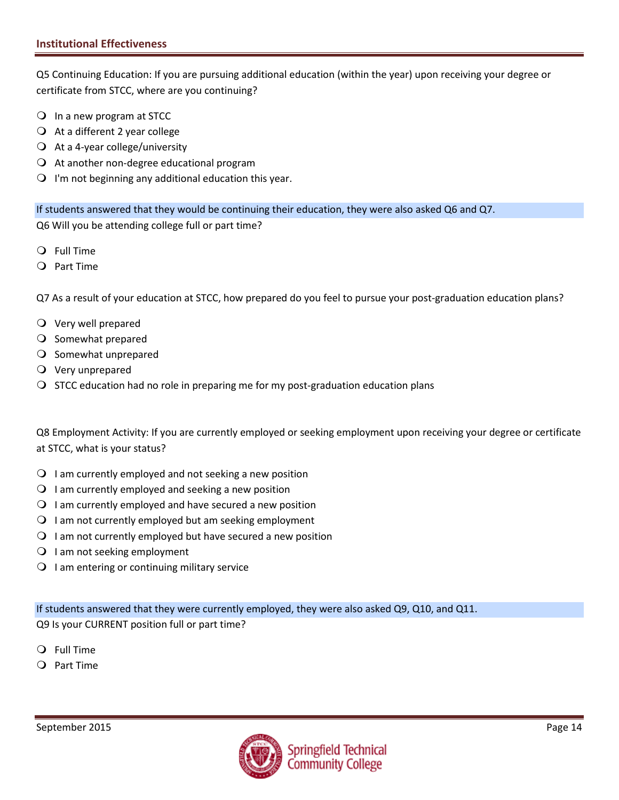Q5 Continuing Education: If you are pursuing additional education (within the year) upon receiving your degree or certificate from STCC, where are you continuing?

- In a new program at STCC
- $\bigcirc$  At a different 2 year college
- $\bigcirc$  At a 4-year college/university
- $\Omega$  At another non-degree educational program
- $\bigcirc$  I'm not beginning any additional education this year.

If students answered that they would be continuing their education, they were also asked Q6 and Q7. Q6 Will you be attending college full or part time?

- Full Time
- Part Time

Q7 As a result of your education at STCC, how prepared do you feel to pursue your post-graduation education plans?

- Very well prepared
- O Somewhat prepared
- O Somewhat unprepared
- Very unprepared
- $\bigcirc$  STCC education had no role in preparing me for my post-graduation education plans

Q8 Employment Activity: If you are currently employed or seeking employment upon receiving your degree or certificate at STCC, what is your status?

- $\Omega$  I am currently employed and not seeking a new position
- $\Omega$  I am currently employed and seeking a new position
- $\Omega$  I am currently employed and have secured a new position
- $\Omega$  I am not currently employed but am seeking employment
- $\Omega$  I am not currently employed but have secured a new position
- $\bigcirc$  I am not seeking employment
- $\bigcirc$  I am entering or continuing military service

If students answered that they were currently employed, they were also asked Q9, Q10, and Q11. Q9 Is your CURRENT position full or part time?

- Full Time
- $Q$  Part Time

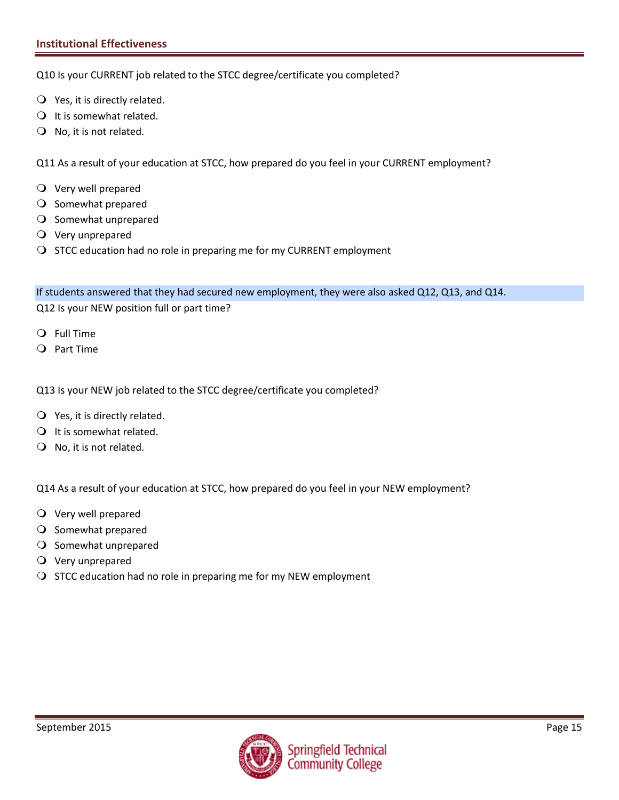Q10 Is your CURRENT job related to the STCC degree/certificate you completed?

- $\bigcirc$  Yes, it is directly related.
- $\bigcirc$  It is somewhat related.
- $\bigcirc$  No, it is not related.

Q11 As a result of your education at STCC, how prepared do you feel in your CURRENT employment?

- Very well prepared
- O Somewhat prepared
- O Somewhat unprepared
- Very unprepared
- O STCC education had no role in preparing me for my CURRENT employment

If students answered that they had secured new employment, they were also asked Q12, Q13, and Q14.

Q12 Is your NEW position full or part time?

- Full Time
- Part Time

Q13 Is your NEW job related to the STCC degree/certificate you completed?

- Yes, it is directly related.
- $\bigcirc$  It is somewhat related.
- $\bigcirc$  No, it is not related.

Q14 As a result of your education at STCC, how prepared do you feel in your NEW employment?

- Very well prepared
- O Somewhat prepared
- $\bigcirc$  Somewhat unprepared
- Very unprepared
- $\bigcirc$  STCC education had no role in preparing me for my NEW employment

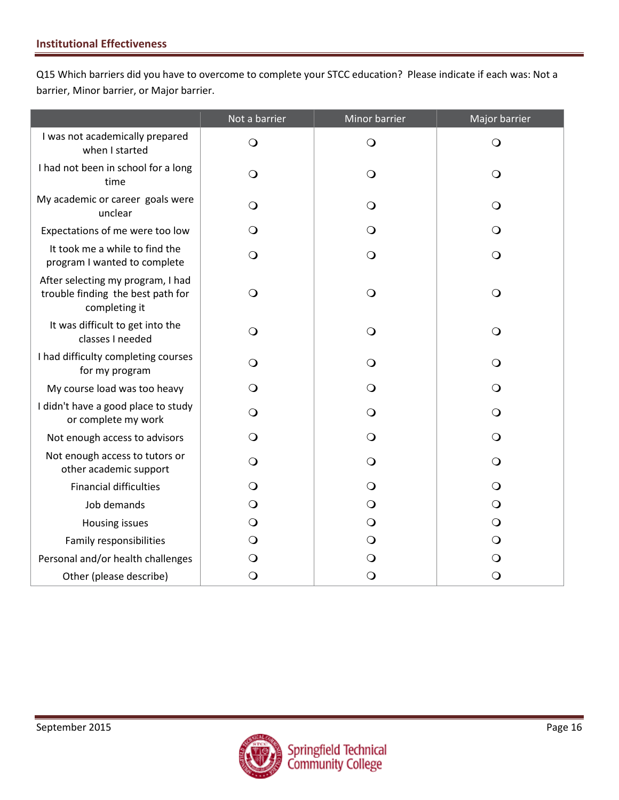Q15 Which barriers did you have to overcome to complete your STCC education? Please indicate if each was: Not a barrier, Minor barrier, or Major barrier.

|                                                                                         | Not a barrier | Minor barrier | Major barrier |
|-----------------------------------------------------------------------------------------|---------------|---------------|---------------|
| I was not academically prepared<br>when I started                                       | $\bigcirc$    | $\bigcirc$    | $\bigcirc$    |
| I had not been in school for a long<br>time                                             | $\bigcirc$    | $\bigcirc$    | $\bigcirc$    |
| My academic or career goals were<br>unclear                                             | O             | $\circ$       | $\bigcirc$    |
| Expectations of me were too low                                                         | $\bigcirc$    | $\bigcirc$    | $\bigcirc$    |
| It took me a while to find the<br>program I wanted to complete                          | $\bigcirc$    | $\bigcirc$    | $\bigcirc$    |
| After selecting my program, I had<br>trouble finding the best path for<br>completing it | $\bigcirc$    | $\bigcirc$    | $\bigcirc$    |
| It was difficult to get into the<br>classes I needed                                    | $\bigcirc$    | $\bigcirc$    | $\bigcirc$    |
| I had difficulty completing courses<br>for my program                                   | O             | $\circ$       | $\bigcirc$    |
| My course load was too heavy                                                            | O             | $\bigcirc$    | $\bigcirc$    |
| I didn't have a good place to study<br>or complete my work                              | $\Omega$      | $\Omega$      | $\bigcirc$    |
| Not enough access to advisors                                                           | O             | $\circ$       | $\bigcirc$    |
| Not enough access to tutors or<br>other academic support                                | $\Omega$      | $\bigcirc$    | $\bigcirc$    |
| <b>Financial difficulties</b>                                                           | $\bigcirc$    | $\circ$       | $\bigcirc$    |
| Job demands                                                                             | $\circ$       | $\circ$       | $\bigcirc$    |
| Housing issues                                                                          | $\bigcirc$    | $\bigcirc$    | $\bigcirc$    |
| Family responsibilities                                                                 | $\mathsf{O}$  | $\bigcirc$    | $\bigcirc$    |
| Personal and/or health challenges                                                       | $\circ$       | $\mathbf{O}$  | $\bigcirc$    |
| Other (please describe)                                                                 | $\bigcirc$    | $\bigcirc$    | $\bigcirc$    |

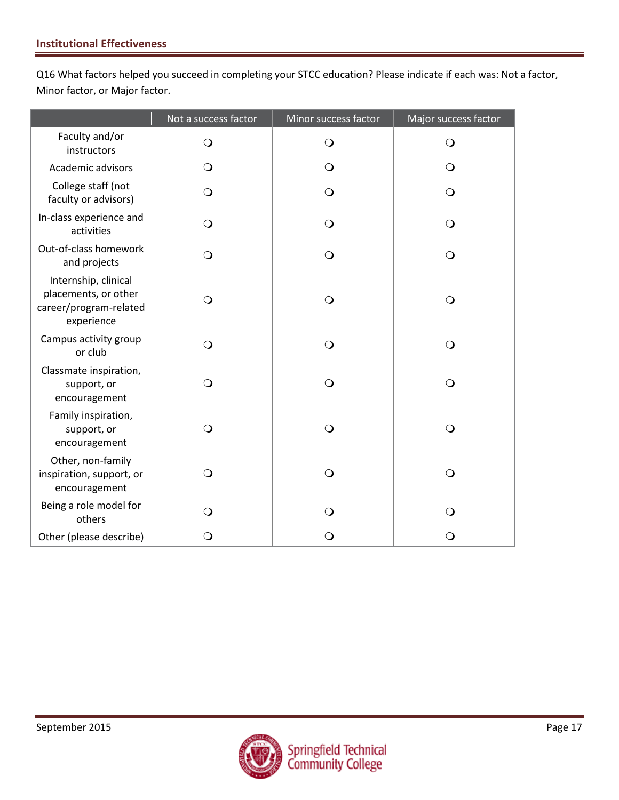Q16 What factors helped you succeed in completing your STCC education? Please indicate if each was: Not a factor, Minor factor, or Major factor.

|                                                                                      | Not a success factor | Minor success factor | Major success factor |
|--------------------------------------------------------------------------------------|----------------------|----------------------|----------------------|
| Faculty and/or<br>instructors                                                        | $\mathsf{O}$         | $\bigcirc$           | $\Omega$             |
| Academic advisors                                                                    | $\Omega$             | $\Omega$             | O                    |
| College staff (not<br>faculty or advisors)                                           | $\mathbf{O}$         | $\mathsf{O}$         | $\Omega$             |
| In-class experience and<br>activities                                                | $\Omega$             | $\mathsf{O}$         | $\Omega$             |
| Out-of-class homework<br>and projects                                                | $\bigcirc$           | $\bigcirc$           | $\bigcirc$           |
| Internship, clinical<br>placements, or other<br>career/program-related<br>experience | $\bigcirc$           | $\bigcirc$           | $\bigcirc$           |
| Campus activity group<br>or club                                                     | $\bigcirc$           | $\bigcirc$           | $\bigcirc$           |
| Classmate inspiration,<br>support, or<br>encouragement                               | $\bigcirc$           | $\bigcirc$           | $\overline{O}$       |
| Family inspiration,<br>support, or<br>encouragement                                  | $\bigcirc$           | $\bigcirc$           | $\bigcirc$           |
| Other, non-family<br>inspiration, support, or<br>encouragement                       | $\Omega$             | $\bigcirc$           | $\bigcirc$           |
| Being a role model for<br>others                                                     | $\bigcirc$           | $\bigcirc$           | $\Omega$             |
| Other (please describe)                                                              | O                    | $\bigcirc$           | $\circ$              |

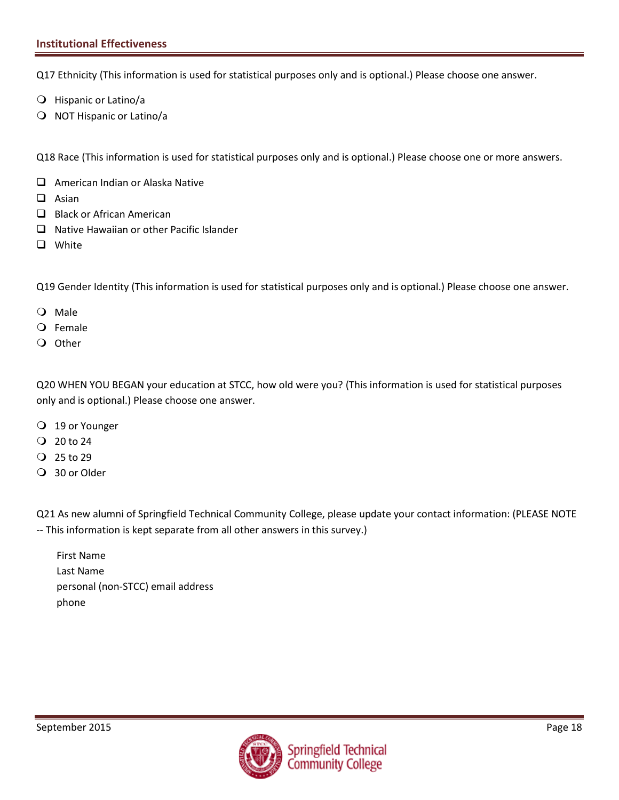#### **Institutional Effectiveness**

Q17 Ethnicity (This information is used for statistical purposes only and is optional.) Please choose one answer.

- Hispanic or Latino/a
- O NOT Hispanic or Latino/a

Q18 Race (This information is used for statistical purposes only and is optional.) Please choose one or more answers.

- □ American Indian or Alaska Native
- $\Box$  Asian
- $\Box$  Black or African American
- $\Box$  Native Hawaiian or other Pacific Islander
- **Q** White

Q19 Gender Identity (This information is used for statistical purposes only and is optional.) Please choose one answer.

- Male
- Female
- O Other

Q20 WHEN YOU BEGAN your education at STCC, how old were you? (This information is used for statistical purposes only and is optional.) Please choose one answer.

- 19 or Younger
- $Q$  20 to 24
- $Q$  25 to 29
- 30 or Older

Q21 As new alumni of Springfield Technical Community College, please update your contact information: (PLEASE NOTE -- This information is kept separate from all other answers in this survey.)

First Name Last Name personal (non-STCC) email address phone

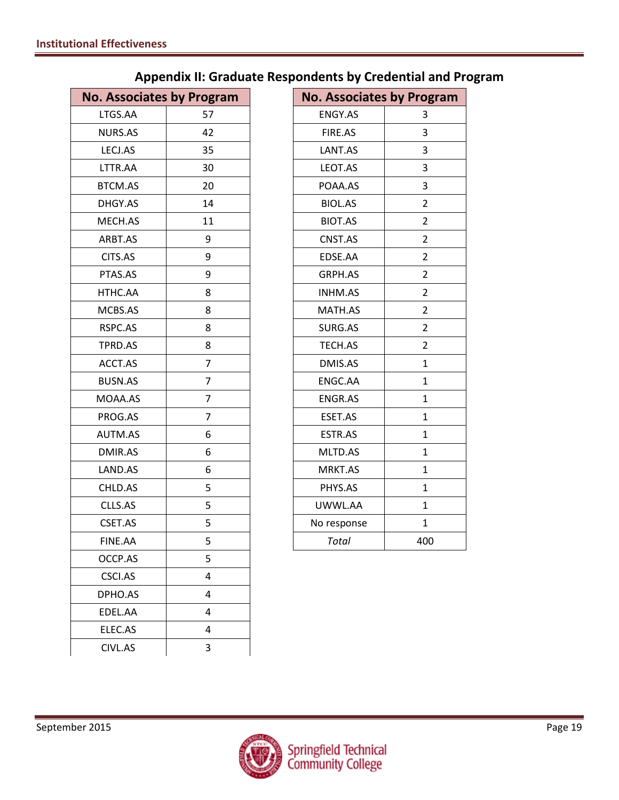| <b>No. Associates by Program</b> |                | <b>No. Associates by Program</b> |                |
|----------------------------------|----------------|----------------------------------|----------------|
| LTGS.AA                          | 57             | ENGY.AS                          | 3              |
| NURS.AS                          | 42             | FIRE.AS                          | 3              |
| LECJ.AS                          | 35             | LANT.AS                          | 3              |
| LTTR.AA                          | 30             | LEOT.AS                          | 3              |
| <b>BTCM.AS</b>                   | 20             | POAA.AS                          | 3              |
| DHGY.AS                          | 14             | <b>BIOL.AS</b>                   | $\overline{2}$ |
| MECH.AS                          | 11             | <b>BIOT.AS</b>                   | $\overline{2}$ |
| ARBT.AS                          | 9              | CNST.AS                          | $\overline{2}$ |
| CITS.AS                          | 9              | EDSE.AA                          | $\overline{2}$ |
| PTAS.AS                          | 9              | GRPH.AS                          | $\overline{2}$ |
| HTHC.AA                          | 8              | INHM.AS                          | $\overline{2}$ |
| MCBS.AS                          | 8              | MATH.AS                          | $\overline{2}$ |
| RSPC.AS                          | 8              | SURG.AS                          | $\overline{2}$ |
| TPRD.AS                          | 8              | TECH.AS                          | $\overline{2}$ |
| ACCT.AS                          | $\overline{7}$ | DMIS.AS                          | $\mathbf{1}$   |
| <b>BUSN.AS</b>                   | $\overline{7}$ | ENGC.AA                          | $\mathbf{1}$   |
| MOAA.AS                          | $\overline{7}$ | ENGR.AS                          | $\mathbf{1}$   |
| PROG.AS                          | $\overline{7}$ | ESET.AS                          | $\mathbf{1}$   |
| AUTM.AS                          | 6              | ESTR.AS                          | $\mathbf{1}$   |
| DMIR.AS                          | 6              | MLTD.AS                          | $\mathbf{1}$   |
| LAND.AS                          | 6              | MRKT.AS                          | $\mathbf{1}$   |
| CHLD.AS                          | 5              | PHYS.AS                          | $\mathbf{1}$   |
| CLLS.AS                          | 5              | UWWL.AA                          | $\mathbf{1}$   |
| CSET.AS                          | 5              | No response                      | $\mathbf{1}$   |
| FINE.AA                          | 5              | <b>Total</b>                     | 400            |
| OCCP.AS                          | 5              |                                  |                |
| CSCI.AS                          | 4              |                                  |                |
| DPHO.AS                          | 4              |                                  |                |
| EDEL.AA                          | 4              |                                  |                |
| ELEC.AS                          | 4              |                                  |                |
| CIVL.AS                          | 3              |                                  |                |
|                                  |                |                                  |                |

# **Appendix II: Graduate Respondents by Credential and Program**

| <b>No. Associates by Program</b> |                         |
|----------------------------------|-------------------------|
| <b>ENGY.AS</b>                   | 3                       |
| FIRE.AS                          | 3                       |
| LANT.AS                          | 3                       |
| LEOT.AS                          | 3                       |
| POAA.AS                          | 3                       |
| <b>BIOL.AS</b>                   | $\overline{\mathbf{c}}$ |
| <b>BIOT.AS</b>                   | $\overline{2}$          |
| CNST.AS                          | $\overline{2}$          |
| EDSE.AA                          | $\overline{2}$          |
| GRPH.AS                          | $\overline{2}$          |
| <b>INHM.AS</b>                   | $\overline{2}$          |
| MATH.AS                          | $\overline{2}$          |
| SURG.AS                          | $\overline{2}$          |
| TECH.AS                          | 2                       |
| DMIS.AS                          | $\mathbf{1}$            |
| ENGC.AA                          | $\mathbf{1}$            |
| <b>ENGR.AS</b>                   | $\mathbf{1}$            |
| ESET.AS                          | 1                       |
| ESTR.AS                          | 1                       |
| MLTD.AS                          | 1                       |
| MRKT.AS                          | 1                       |
| PHYS.AS                          | 1                       |
| UWWL.AA                          | $\mathbf{1}$            |
| No response                      | $\mathbf{1}$            |
| Total                            | 400                     |